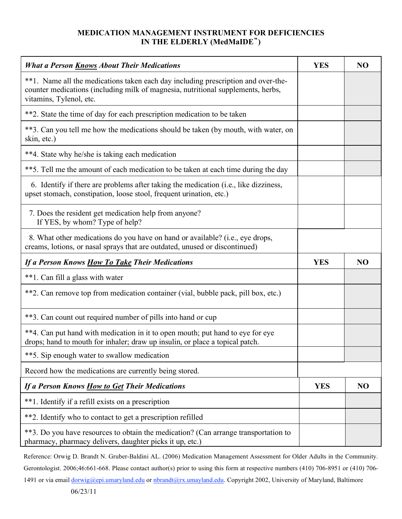## **MEDICATION MANAGEMENT INSTRUMENT FOR DEFICIENCIES IN THE ELDERLY (MedMaIDE)**

| <b>What a Person Knows About Their Medications</b>                                                                                                                                               | <b>YES</b> | N <sub>O</sub> |
|--------------------------------------------------------------------------------------------------------------------------------------------------------------------------------------------------|------------|----------------|
| **1. Name all the medications taken each day including prescription and over-the-<br>counter medications (including milk of magnesia, nutritional supplements, herbs,<br>vitamins, Tylenol, etc. |            |                |
| **2. State the time of day for each prescription medication to be taken                                                                                                                          |            |                |
| **3. Can you tell me how the medications should be taken (by mouth, with water, on<br>skin, etc.)                                                                                                |            |                |
| **4. State why he/she is taking each medication                                                                                                                                                  |            |                |
| **5. Tell me the amount of each medication to be taken at each time during the day                                                                                                               |            |                |
| 6. Identify if there are problems after taking the medication (i.e., like dizziness,<br>upset stomach, constipation, loose stool, frequent urination, etc.)                                      |            |                |
| 7. Does the resident get medication help from anyone?<br>If YES, by whom? Type of help?                                                                                                          |            |                |
| 8. What other medications do you have on hand or available? (i.e., eye drops,<br>creams, lotions, or nasal sprays that are outdated, unused or discontinued)                                     |            |                |
| If a Person Knows How To Take Their Medications                                                                                                                                                  | <b>YES</b> | N <sub>O</sub> |
| **1. Can fill a glass with water                                                                                                                                                                 |            |                |
| **2. Can remove top from medication container (vial, bubble pack, pill box, etc.)                                                                                                                |            |                |
| **3. Can count out required number of pills into hand or cup                                                                                                                                     |            |                |
| **4. Can put hand with medication in it to open mouth; put hand to eye for eye<br>drops; hand to mouth for inhaler; draw up insulin, or place a topical patch.                                   |            |                |
| **5. Sip enough water to swallow medication                                                                                                                                                      |            |                |
| Record how the medications are currently being stored.                                                                                                                                           |            |                |
| <b>If a Person Knows How to Get Their Medications</b>                                                                                                                                            | <b>YES</b> | N <sub>O</sub> |
| **1. Identify if a refill exists on a prescription                                                                                                                                               |            |                |
| **2. Identify who to contact to get a prescription refilled                                                                                                                                      |            |                |
| **3. Do you have resources to obtain the medication? (Can arrange transportation to<br>pharmacy, pharmacy delivers, daughter picks it up, etc.)                                                  |            |                |

Reference: Orwig D. Brandt N. Gruber-Baldini AL. (2006) Medication Management Assessment for Older Adults in the Community. Gerontologist. 2006;46:661-668. Please contact author(s) prior to using this form at respective numbers (410) 706-8951 or (410) 706-

1491 or via email dorwig@epi.umaryland.edu or nbrandt@rx.umayland.edu. Copyright 2002, University of Maryland, Baltimore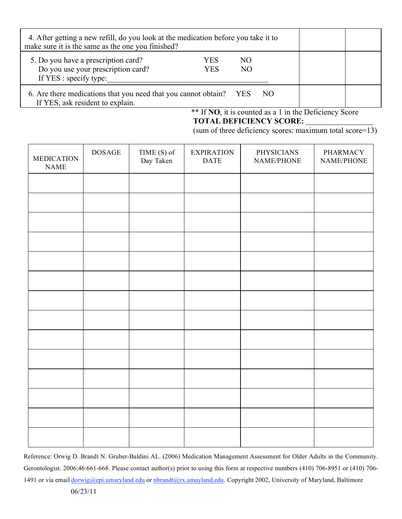| 4. After getting a new refill, do you look at the medication before you take it to<br>make sure it is the same as the one you finished? |            |                      |     |  |
|-----------------------------------------------------------------------------------------------------------------------------------------|------------|----------------------|-----|--|
| 5. Do you have a prescription card?<br>Do you use your prescription card?<br>If YES : specify type:                                     | YES<br>YES | NO<br>N <sub>O</sub> |     |  |
| 6. Are there medications that you need that you cannot obtain?<br>If YES, ask resident to explain.                                      |            | YES.                 | NO. |  |

\*\* If NO, it is counted as a 1 in the Deficiency Score **TOTAL DEFICIENCY SCORE:**

(sum of three deficiency scores: maximum total score=13)

| MEDICATION<br><b>NAME</b> | <b>DOSAGE</b> | TIME (S) of<br>Day Taken | <b>EXPIRATION</b><br><b>DATE</b> | <b>PHYSICIANS</b><br>$\operatorname{NAME/PHONE}$ | PHARMACY<br>NAME/PHONE |
|---------------------------|---------------|--------------------------|----------------------------------|--------------------------------------------------|------------------------|
|                           |               |                          |                                  |                                                  |                        |
|                           |               |                          |                                  |                                                  |                        |
|                           |               |                          |                                  |                                                  |                        |
|                           |               |                          |                                  |                                                  |                        |
|                           |               |                          |                                  |                                                  |                        |
|                           |               |                          |                                  |                                                  |                        |
|                           |               |                          |                                  |                                                  |                        |
|                           |               |                          |                                  |                                                  |                        |
|                           |               |                          |                                  |                                                  |                        |
|                           |               |                          |                                  |                                                  |                        |
|                           |               |                          |                                  |                                                  |                        |
|                           |               |                          |                                  |                                                  |                        |
|                           |               |                          |                                  |                                                  |                        |
|                           |               |                          |                                  |                                                  |                        |

Reference: Orwig D. Brandt N. Gruber-Baldini AL. (2006) Medication Management Assessment for Older Adults in the Community. Gerontologist. 2006;46:661-668. Please contact author(s) prior to using this form at respective numbers (410) 706-8951 or (410) 706- 1491 or via email dorwig@epi.umaryland.edu or nbrandt@rx.umayland.edu. Copyright 2002, University of Maryland, Baltimore